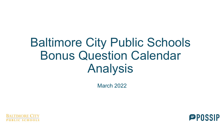## Baltimore City Public Schools Bonus Question Calendar Analysis

March 2022



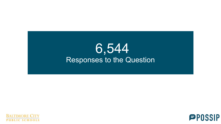## 6,544 Responses to the Question



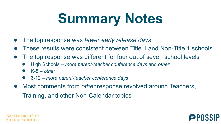# **Summary Notes**

- The top response was *fewer early release days*
- These results were consistent between Title 1 and Non-Title 1 schools
- The top response was different for four out of seven school levels
	- High Schools *more parent-teacher conference days* and *other*
	- $K-8$  other
	- 6-12 *more parent-teacher conference days*
- Most comments from *other* response revolved around Teachers, Training, and other Non-Calendar topics



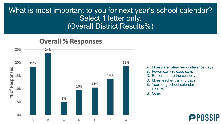### What is most important to you for next year's school calendar? Select 1 letter only. (Overall District Results%)

#### **Overall % Responses**



A. More parent-teacher conference days

- B. Fewer early release days
- C. Earlier start to the school year
- D. More teacher training days
- E. Year-long school calendar
- F. Unsure
- G. Other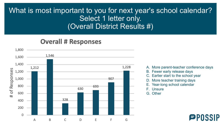### What is most important to you for next year's school calendar? Select 1 letter only. (Overall District Results #)

#### **Overall # Responses**



A. More parent-teacher conference days

- B. Fewer early release days
- C. Earlier start to the school year
- D. More teacher training days
- E. Year-long school calendar
- F. Unsure
- G. Other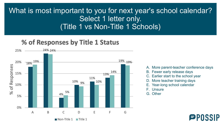### What is most important to you for next year's school calendar? Select 1 letter only. (Title 1 vs Non-Title 1 Schools)

#### % of Responses by Title 1 Status



A. More parent-teacher conference days

**PPOSS** 

- B. Fewer early release days
- C. Earlier start to the school year
- D. More teacher training days
- E. Year-long school calendar
- F. Unsure
- G. Other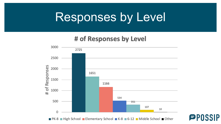## Responses by Level

#### # of Responses by Level



■ PK-8 ■ High School ■ Elementary School ■ K-8 ■ 6-12 ■ Middle School ■ Other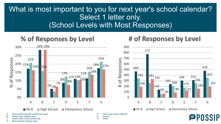### What is most important to you for next year's school calendar? Select 1 letter only. (School Levels with Most Responses)

Other

### % of Responses by Level



#### # of Responses by Level



- Earlier start to the school year D. More teacher training days
	-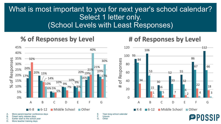### What is most important to you for next year's school calendar? Select 1 letter only. (School Levels with Least Responses)

#### % of Responses by Level



#### # of Responses by Level

112

66

18

G

86

55

32

 $\overline{2}$ 

E

67

22

F

■ Other

4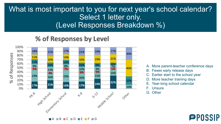### What is most important to you for next year's school calendar? Select 1 letter only. (Level Responses Breakdown %)

#### % of Responses by Level



- A. More parent-teacher conference days
- B. Fewer early release days
- C. Earlier start to the school year
- D. More teacher training days
- E. Year-long school calendar
- F. Unsure
- G. Other

## **PPOSSIP**

 $C = D = F = F$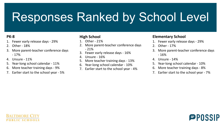## Responses Ranked by School Level

#### **PK-8**

- 1. Fewer early release days 29%
- 2. Other 18%
- 3. More parent-teacher conference days - 17%
- 4. Unsure 11%
- 5. Year-long school calendar 11%
- 6. More teacher training days 9%
- 7. Earlier start to the school year 5%

#### **High School**

- 1. Other 21%
- 2. More parent-teacher conference days - 21%
- 3. Fewer early release days 16%
- 4. Unsure 16%
- 5. More teacher training days 13%
- 6. Year-long school calendar 10%
- 7. Earlier start to the school year 4%

#### **Elementary School**

- 1. Fewer early release days 29%
- 2. Other 17%
- More parent-teacher conference days - 16%
- 4. Unsure 14%
- 5. Year-long school calendar 10%
- 6. More teacher training days 8%
- 7. Earlier start to the school year 7%

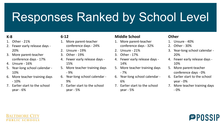## Responses Ranked by School Level

#### **K-8**

- 1. Other 21%
- 2. Fewer early release days 20%
- 3. More parent-teacher conference days - 17%
- 4. Unsure 16%
- 5. Year-long school calendar 10%
- 6. More teacher training days - 10%
- 7. Earlier start to the school year - 6%

#### **6-12**

- 1. More parent-teacher conference days - 24%
- 2. Unsure 19%
- 3. Other 19%
- 4. Fewer early release days 15%
- 5. More teacher training days - 9%
- 6. Year-long school calendar 9%
- 7. Earlier start to the school year - 5%

#### **Middle School**

- 1. More parent-teacher conference days - 32%
- 2. Unsure 21%
- 3. Other 17%
- 4. Fewer early release days 14%
- 5. More teacher training days - 7%
- 6. Year-long school calendar 6%
- 7. Earlier start to the school year - 5%

#### **Other**

- 1. Unsure 40%
- 2. Other 30%
- 3. Year-long school calendar 20%
- 4. Fewer early release days 10%
- 5. More parent-teacher conference days - 0%
- 6. Earlier start to the school year - 0%
- 7. More teacher training days - 0%